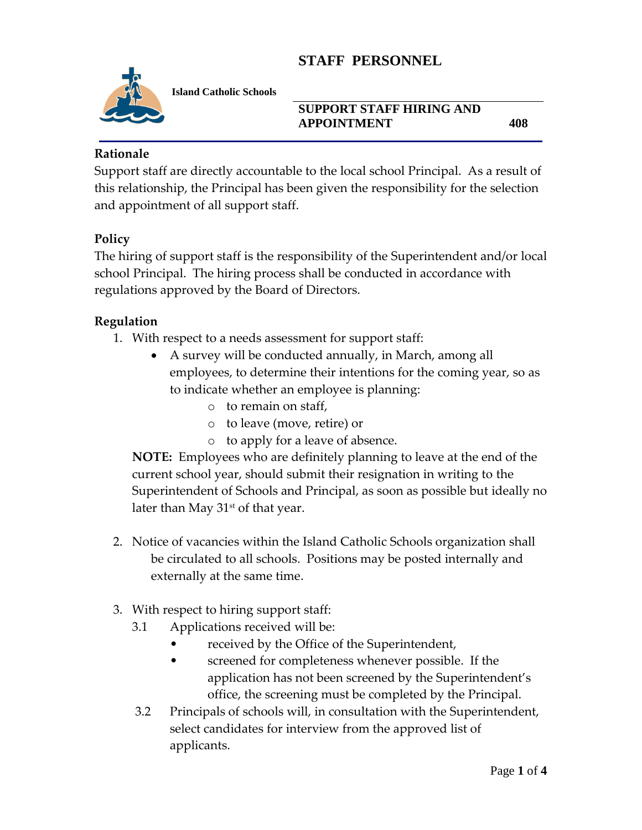

**Island Catholic Schools** 

### **SUPPORT STAFF HIRING AND APPOINTMENT 408**

### **Rationale**

Support staff are directly accountable to the local school Principal. As a result of this relationship, the Principal has been given the responsibility for the selection and appointment of all support staff.

### **Policy**

The hiring of support staff is the responsibility of the Superintendent and/or local school Principal. The hiring process shall be conducted in accordance with regulations approved by the Board of Directors.

### **Regulation**

- 1. With respect to a needs assessment for support staff:
	- A survey will be conducted annually, in March, among all employees, to determine their intentions for the coming year, so as to indicate whether an employee is planning:
		- o to remain on staff,
		- o to leave (move, retire) or
		- o to apply for a leave of absence.

**NOTE:** Employees who are definitely planning to leave at the end of the current school year, should submit their resignation in writing to the Superintendent of Schools and Principal, as soon as possible but ideally no later than May  $31<sup>st</sup>$  of that year.

- 2. Notice of vacancies within the Island Catholic Schools organization shall be circulated to all schools. Positions may be posted internally and externally at the same time.
- 3. With respect to hiring support staff:
	- 3.1 Applications received will be:
		- received by the Office of the Superintendent,
		- screened for completeness whenever possible. If the application has not been screened by the Superintendent's office, the screening must be completed by the Principal.
	- 3.2 Principals of schools will, in consultation with the Superintendent, select candidates for interview from the approved list of applicants.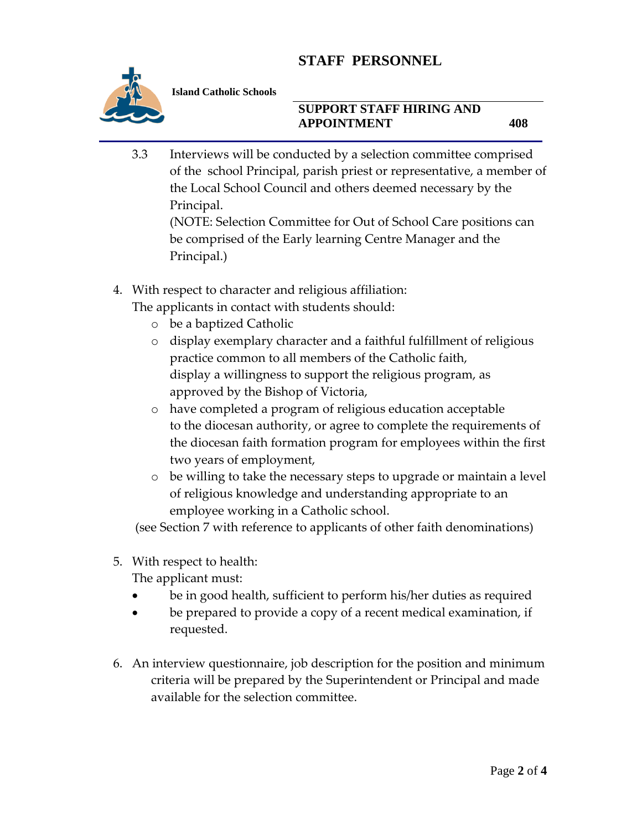

**Island Catholic Schools** 

### **SUPPORT STAFF HIRING AND APPOINTMENT 408**

3.3 Interviews will be conducted by a selection committee comprised of the school Principal, parish priest or representative, a member of the Local School Council and others deemed necessary by the Principal.

(NOTE: Selection Committee for Out of School Care positions can be comprised of the Early learning Centre Manager and the Principal.)

4. With respect to character and religious affiliation:

The applicants in contact with students should:

- o be a baptized Catholic
- o display exemplary character and a faithful fulfillment of religious practice common to all members of the Catholic faith, display a willingness to support the religious program, as approved by the Bishop of Victoria,
- o have completed a program of religious education acceptable to the diocesan authority, or agree to complete the requirements of the diocesan faith formation program for employees within the first two years of employment,
- o be willing to take the necessary steps to upgrade or maintain a level of religious knowledge and understanding appropriate to an employee working in a Catholic school.

(see Section 7 with reference to applicants of other faith denominations)

5. With respect to health:

The applicant must:

- be in good health, sufficient to perform his/her duties as required
- be prepared to provide a copy of a recent medical examination, if requested.
- 6. An interview questionnaire, job description for the position and minimum criteria will be prepared by the Superintendent or Principal and made available for the selection committee.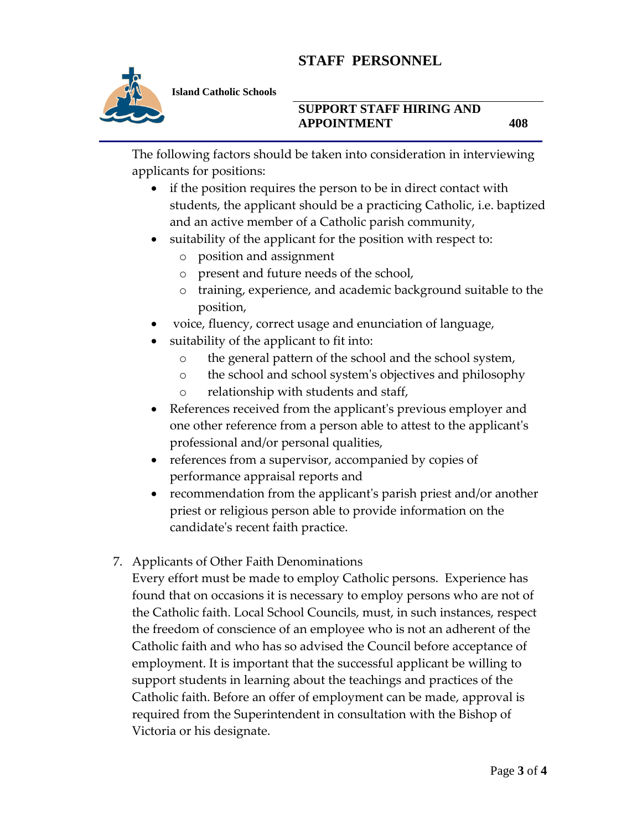

#### **SUPPORT STAFF HIRING AND APPOINTMENT 408**

The following factors should be taken into consideration in interviewing applicants for positions:

- if the position requires the person to be in direct contact with students, the applicant should be a practicing Catholic, i.e. baptized and an active member of a Catholic parish community,
- suitability of the applicant for the position with respect to:
	- o position and assignment
	- o present and future needs of the school,
	- o training, experience, and academic background suitable to the position,
- voice, fluency, correct usage and enunciation of language,
- suitability of the applicant to fit into:
	- o the general pattern of the school and the school system,
	- o the school and school system's objectives and philosophy
	- o relationship with students and staff,
- References received from the applicant's previous employer and one other reference from a person able to attest to the applicant's professional and/or personal qualities,
- references from a supervisor, accompanied by copies of performance appraisal reports and
- recommendation from the applicant's parish priest and/or another priest or religious person able to provide information on the candidate's recent faith practice.
- 7. Applicants of Other Faith Denominations

Every effort must be made to employ Catholic persons. Experience has found that on occasions it is necessary to employ persons who are not of the Catholic faith. Local School Councils, must, in such instances, respect the freedom of conscience of an employee who is not an adherent of the Catholic faith and who has so advised the Council before acceptance of employment. It is important that the successful applicant be willing to support students in learning about the teachings and practices of the Catholic faith. Before an offer of employment can be made, approval is required from the Superintendent in consultation with the Bishop of Victoria or his designate.